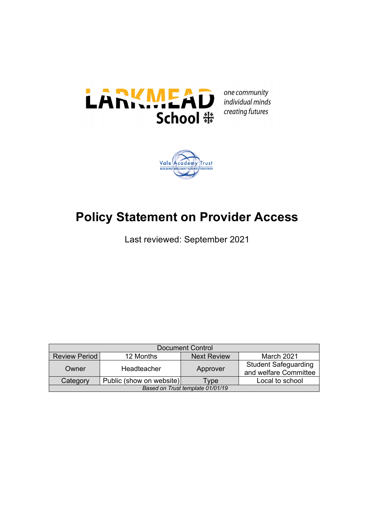

one community individual minds creating futures



# **Policy Statement on Provider Access**

Last reviewed: September 2021

| <b>Document Control</b>              |             |                    |                                                      |  |  |  |
|--------------------------------------|-------------|--------------------|------------------------------------------------------|--|--|--|
| <b>Review Period</b>                 | 12 Months   | <b>Next Review</b> | March 2021                                           |  |  |  |
| Owner                                | Headteacher | Approver           | <b>Student Safeguarding</b><br>and welfare Committee |  |  |  |
| Public (show on website)<br>Category |             | <b>Tvpe</b>        | Local to school                                      |  |  |  |
| Based on Trust template 01/01/19     |             |                    |                                                      |  |  |  |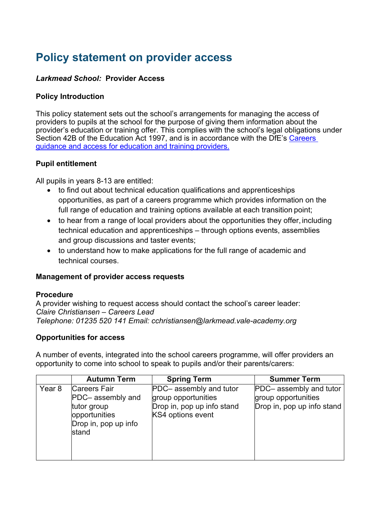## **Policy statement on provider access**

## *Larkmead School:* **Provider Access**

### **Policy Introduction**

This policy statement sets out the school's arrangements for managing the access of providers to pupils at the school for the purpose of giving them information about the provider's education or training offer. This complies with the school's legal obligations under Section 42B of the Education Act 1997, and is in accordance with the DfE's Careers guidance and access for education and training providers.

#### **Pupil entitlement**

All pupils in years 8-13 are entitled:

- to find out about technical education qualifications and apprenticeships opportunities, as part of a careers programme which provides information on the full range of education and training options available at each transition point;
- to hear from a range of local providers about the opportunities they offer, including technical education and apprenticeships – through options events, assemblies and group discussions and taster events;
- to understand how to make applications for the full range of academic and technical courses.

#### **Management of provider access requests**

#### **Procedure**

A provider wishing to request access should contact the school's career leader: *Claire Christiansen – Careers Lead Telephone: 01235 520 141 Email: cchristiansen@larkmead.vale-academy.org*

#### **Opportunities for access**

A number of events, integrated into the school careers programme, will offer providers an opportunity to come into school to speak to pupils and/or their parents/carers:

|        | <b>Autumn Term</b>                                                                                        | <b>Spring Term</b>                                                                                | <b>Summer Term</b>                                                           |
|--------|-----------------------------------------------------------------------------------------------------------|---------------------------------------------------------------------------------------------------|------------------------------------------------------------------------------|
| Year 8 | <b>Careers Fair</b><br>PDC- assembly and<br>tutor group<br>opportunities<br>Drop in, pop up info<br>stand | PDC- assembly and tutor<br>group opportunities<br>Drop in, pop up info stand<br>KS4 options event | PDC- assembly and tutor<br>group opportunities<br>Drop in, pop up info stand |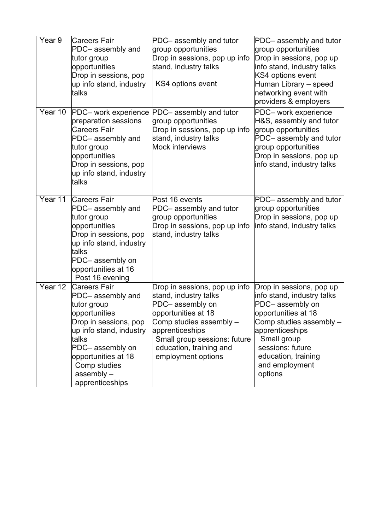| Year 9  | <b>Careers Fair</b><br>PDC-assembly and<br>tutor group<br>opportunities<br>Drop in sessions, pop<br>up info stand, industry<br>talks                                                                                               | PDC-assembly and tutor<br>group opportunities<br>Drop in sessions, pop up info<br>stand, industry talks<br>KS4 options event                                                                                                    | PDC- assembly and tutor<br>group opportunities<br>Drop in sessions, pop up<br>info stand, industry talks<br>KS4 options event<br>Human Library - speed<br>networking event with<br>providers & employers                              |
|---------|------------------------------------------------------------------------------------------------------------------------------------------------------------------------------------------------------------------------------------|---------------------------------------------------------------------------------------------------------------------------------------------------------------------------------------------------------------------------------|---------------------------------------------------------------------------------------------------------------------------------------------------------------------------------------------------------------------------------------|
| Year 10 | PDC- work experience<br>preparation sessions<br><b>Careers Fair</b><br>PDC- assembly and<br>tutor group<br>opportunities<br>Drop in sessions, pop<br>up info stand, industry<br>talks                                              | PDC- assembly and tutor<br>group opportunities<br>Drop in sessions, pop up info<br>stand, industry talks<br><b>Mock interviews</b>                                                                                              | PDC- work experience<br>H&S, assembly and tutor<br>group opportunities<br>PDC- assembly and tutor<br>group opportunities<br>Drop in sessions, pop up<br>info stand, industry talks                                                    |
| Year 11 | <b>Careers Fair</b><br>PDC- assembly and<br>tutor group<br>opportunities<br>Drop in sessions, pop<br>up info stand, industry<br>talks<br>PDC-assembly on<br>opportunities at 16<br>Post 16 evening                                 | Post 16 events<br>PDC- assembly and tutor<br>group opportunities<br>Drop in sessions, pop up info<br>stand, industry talks                                                                                                      | PDC- assembly and tutor<br>group opportunities<br>Drop in sessions, pop up<br>info stand, industry talks                                                                                                                              |
| Year 12 | <b>Careers Fair</b><br>PDC- assembly and<br>tutor group<br>opportunities<br>Drop in sessions, pop<br>up info stand, industry<br>talks<br>PDC-assembly on<br>opportunities at 18<br>Comp studies<br>$assembly -$<br>apprenticeships | Drop in sessions, pop up info<br>stand, industry talks<br>PDC-assembly on<br>opportunities at 18<br>Comp studies assembly -<br>apprenticeships<br>Small group sessions: future<br>education, training and<br>employment options | Drop in sessions, pop up<br>info stand, industry talks<br>PDC-assembly on<br>opportunities at 18<br>Comp studies assembly -<br>apprenticeships<br>Small group<br>sessions: future<br>education, training<br>and employment<br>options |